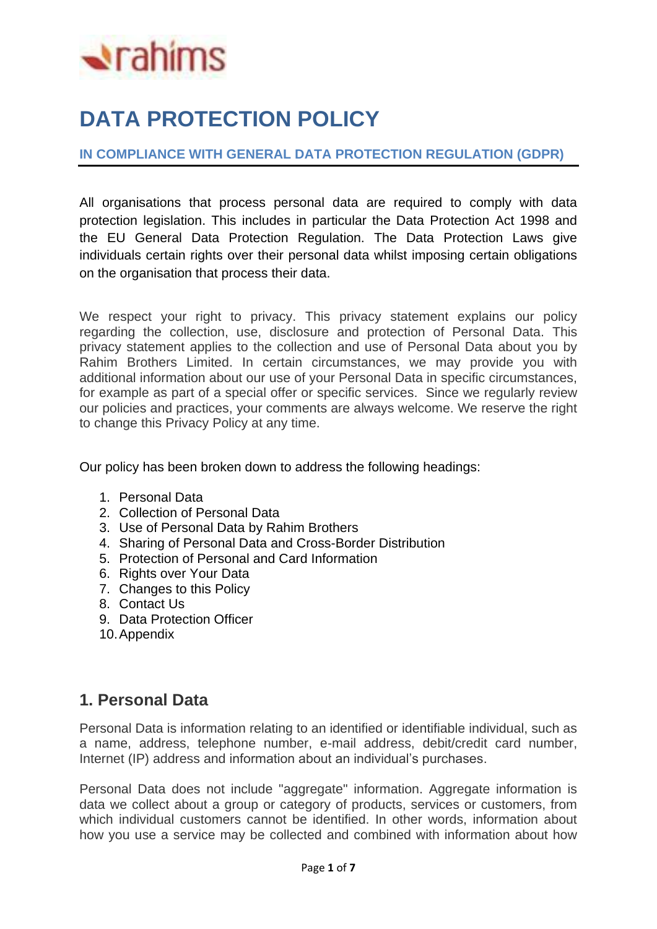# $\triangle$ rahims

# **DATA PROTECTION POLICY**

#### **IN COMPLIANCE WITH GENERAL DATA PROTECTION REGULATION (GDPR)**

All organisations that process personal data are required to comply with data protection legislation. This includes in particular the Data Protection Act 1998 and the EU General Data Protection Regulation. The Data Protection Laws give individuals certain rights over their personal data whilst imposing certain obligations on the organisation that process their data.

We respect your right to privacy. This privacy statement explains our policy regarding the collection, use, disclosure and protection of Personal Data. This privacy statement applies to the collection and use of Personal Data about you by Rahim Brothers Limited. In certain circumstances, we may provide you with additional information about our use of your Personal Data in specific circumstances, for example as part of a special offer or specific services. Since we regularly review our policies and practices, your comments are always welcome. We reserve the right to change this Privacy Policy at any time.

Our policy has been broken down to address the following headings:

- 1. Personal Data
- 2. Collection of Personal Data
- 3. Use of Personal Data by Rahim Brothers
- 4. Sharing of Personal Data and Cross-Border Distribution
- 5. Protection of Personal and Card Information
- 6. Rights over Your Data
- 7. Changes to this Policy
- 8. Contact Us
- 9. Data Protection Officer
- 10.Appendix

# **1. Personal Data**

Personal Data is information relating to an identified or identifiable individual, such as a name, address, telephone number, e-mail address, debit/credit card number, Internet (IP) address and information about an individual's purchases.

Personal Data does not include "aggregate" information. Aggregate information is data we collect about a group or category of products, services or customers, from which individual customers cannot be identified. In other words, information about how you use a service may be collected and combined with information about how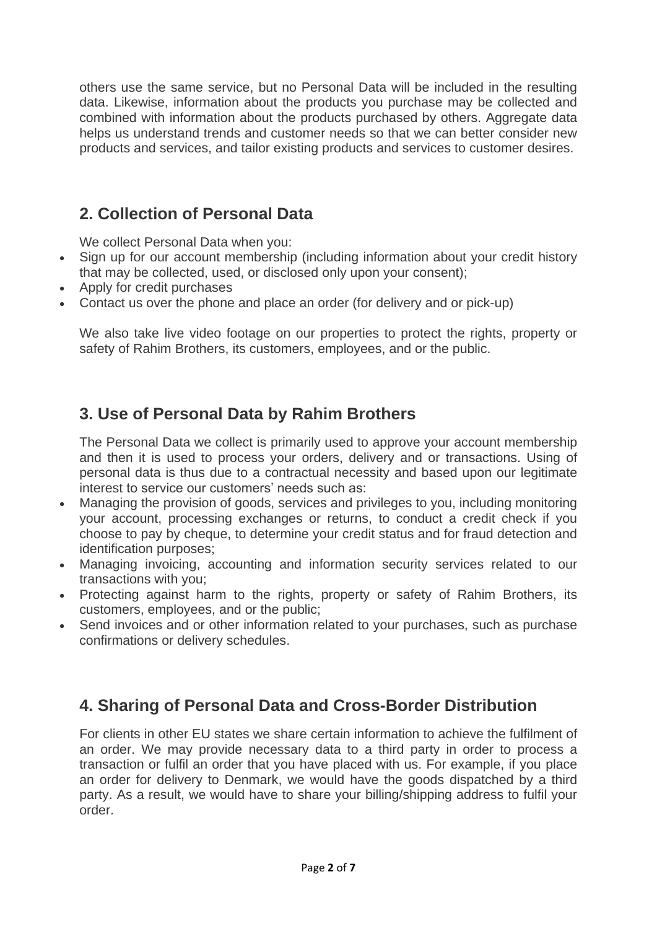others use the same service, but no Personal Data will be included in the resulting data. Likewise, information about the products you purchase may be collected and combined with information about the products purchased by others. Aggregate data helps us understand trends and customer needs so that we can better consider new products and services, and tailor existing products and services to customer desires.

# **2. Collection of Personal Data**

We collect Personal Data when you:

- Sign up for our account membership (including information about your credit history that may be collected, used, or disclosed only upon your consent);
- Apply for credit purchases
- Contact us over the phone and place an order (for delivery and or pick-up)

We also take live video footage on our properties to protect the rights, property or safety of Rahim Brothers, its customers, employees, and or the public.

# **3. Use of Personal Data by Rahim Brothers**

The Personal Data we collect is primarily used to approve your account membership and then it is used to process your orders, delivery and or transactions. Using of personal data is thus due to a contractual necessity and based upon our legitimate interest to service our customers' needs such as:

- Managing the provision of goods, services and privileges to you, including monitoring your account, processing exchanges or returns, to conduct a credit check if you choose to pay by cheque, to determine your credit status and for fraud detection and identification purposes;
- Managing invoicing, accounting and information security services related to our transactions with you;
- Protecting against harm to the rights, property or safety of Rahim Brothers, its customers, employees, and or the public;
- Send invoices and or other information related to your purchases, such as purchase confirmations or delivery schedules.

# **4. Sharing of Personal Data and Cross-Border Distribution**

For clients in other EU states we share certain information to achieve the fulfilment of an order. We may provide necessary data to a third party in order to process a transaction or fulfil an order that you have placed with us. For example, if you place an order for delivery to Denmark, we would have the goods dispatched by a third party. As a result, we would have to share your billing/shipping address to fulfil your order.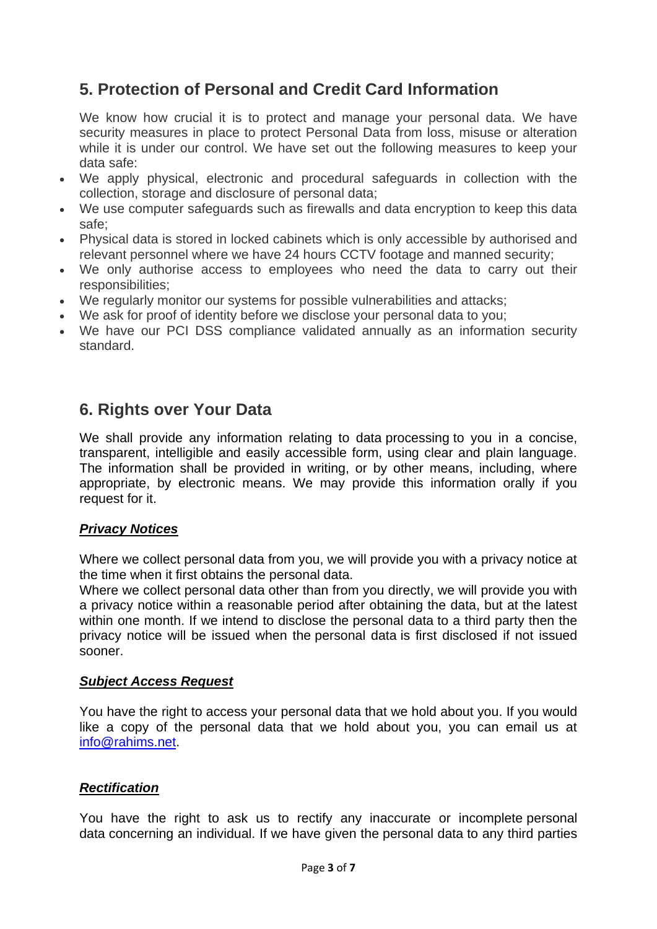# **5. Protection of Personal and Credit Card Information**

We know how crucial it is to protect and manage your personal data. We have security measures in place to protect Personal Data from loss, misuse or alteration while it is under our control. We have set out the following measures to keep your data safe:

- We apply physical, electronic and procedural safeguards in collection with the collection, storage and disclosure of personal data;
- We use computer safeguards such as firewalls and data encryption to keep this data safe;
- Physical data is stored in locked cabinets which is only accessible by authorised and relevant personnel where we have 24 hours CCTV footage and manned security;
- We only authorise access to employees who need the data to carry out their responsibilities;
- We regularly monitor our systems for possible vulnerabilities and attacks;
- We ask for proof of identity before we disclose your personal data to you;
- We have our PCI DSS compliance validated annually as an information security standard.

## **6. Rights over Your Data**

We shall provide any information relating to data processing to you in a concise, transparent, intelligible and easily accessible form, using clear and plain language. The information shall be provided in writing, or by other means, including, where appropriate, by electronic means. We may provide this information orally if you request for it.

#### *Privacy Notices*

Where we collect personal data from you, we will provide you with a privacy notice at the time when it first obtains the personal data.

Where we collect personal data other than from you directly, we will provide you with a privacy notice within a reasonable period after obtaining the data, but at the latest within one month. If we intend to disclose the personal data to a third party then the privacy notice will be issued when the personal data is first disclosed if not issued sooner.

#### *Subject Access Request*

You have the right to access your personal data that we hold about you. If you would like a copy of the personal data that we hold about you, you can email us at [info@rahims.net.](mailto:info@rahims.net)

#### *Rectification*

You have the right to ask us to rectify any inaccurate or incomplete personal data concerning an individual. If we have given the personal data to any third parties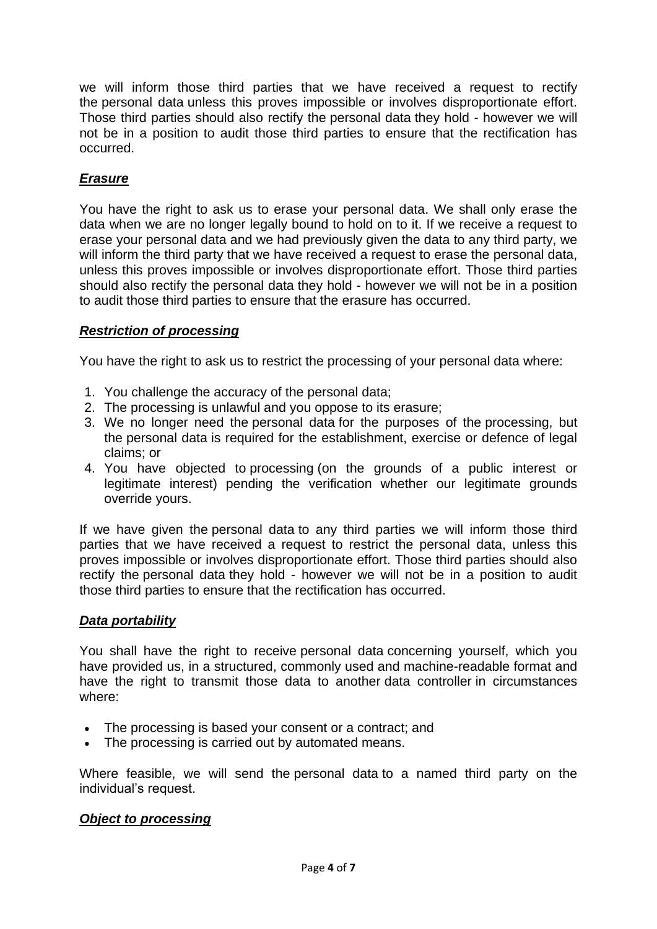we will inform those third parties that we have received a request to rectify the personal data unless this proves impossible or involves disproportionate effort. Those third parties should also rectify the personal data they hold - however we will not be in a position to audit those third parties to ensure that the rectification has occurred.

#### *Erasure*

You have the right to ask us to erase your personal data. We shall only erase the data when we are no longer legally bound to hold on to it. If we receive a request to erase your personal data and we had previously given the data to any third party, we will inform the third party that we have received a request to erase the personal data, unless this proves impossible or involves disproportionate effort. Those third parties should also rectify the personal data they hold - however we will not be in a position to audit those third parties to ensure that the erasure has occurred.

#### *Restriction of processing*

You have the right to ask us to restrict the processing of your personal data where:

- 1. You challenge the accuracy of the personal data;
- 2. The processing is unlawful and you oppose to its erasure;
- 3. We no longer need the personal data for the purposes of the processing, but the personal data is required for the establishment, exercise or defence of legal claims; or
- 4. You have objected to processing (on the grounds of a public interest or legitimate interest) pending the verification whether our legitimate grounds override yours.

If we have given the personal data to any third parties we will inform those third parties that we have received a request to restrict the personal data, unless this proves impossible or involves disproportionate effort. Those third parties should also rectify the personal data they hold - however we will not be in a position to audit those third parties to ensure that the rectification has occurred.

#### *Data portability*

You shall have the right to receive personal data concerning yourself, which you have provided us, in a structured, commonly used and machine-readable format and have the right to transmit those data to another data controller in circumstances where:

- The processing is based your consent or a contract; and
- The processing is carried out by automated means.

Where feasible, we will send the personal data to a named third party on the individual's request.

#### *Object to processing*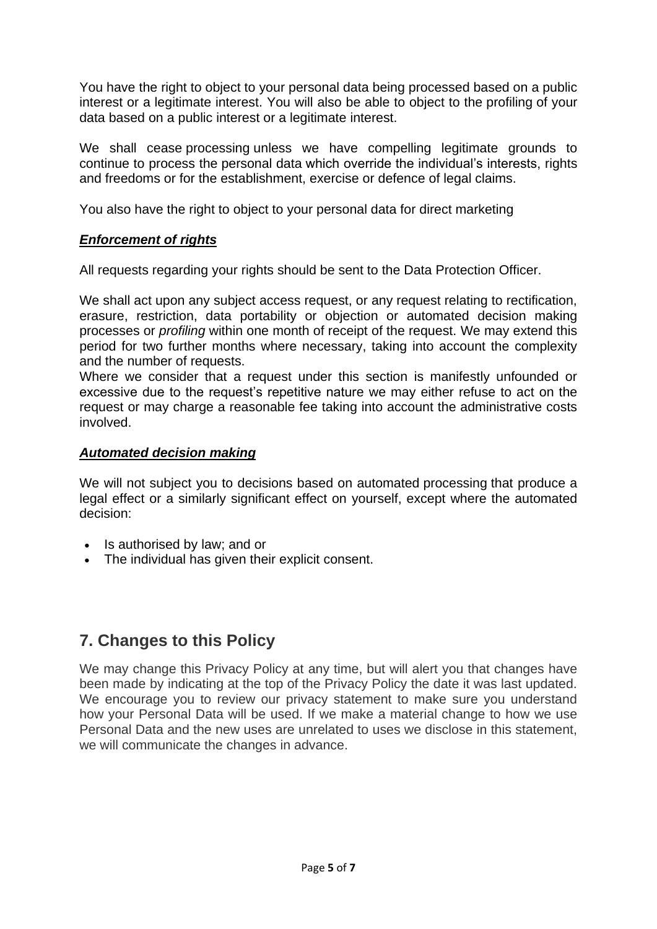You have the right to object to your personal data being processed based on a public interest or a legitimate interest. You will also be able to object to the profiling of your data based on a public interest or a legitimate interest.

We shall cease processing unless we have compelling legitimate grounds to continue to process the personal data which override the individual's interests, rights and freedoms or for the establishment, exercise or defence of legal claims.

You also have the right to object to your personal data for direct marketing

#### *Enforcement of rights*

All requests regarding your rights should be sent to the Data Protection Officer.

We shall act upon any subject access request, or any request relating to rectification, erasure, restriction, data portability or objection or automated decision making processes or *profiling* within one month of receipt of the request. We may extend this period for two further months where necessary, taking into account the complexity and the number of requests.

Where we consider that a request under this section is manifestly unfounded or excessive due to the request's repetitive nature we may either refuse to act on the request or may charge a reasonable fee taking into account the administrative costs involved.

#### *Automated decision making*

We will not subject you to decisions based on automated processing that produce a legal effect or a similarly significant effect on yourself, except where the automated decision:

- Is authorised by law; and or
- The individual has given their explicit consent.

# **7. Changes to this Policy**

We may change this Privacy Policy at any time, but will alert you that changes have been made by indicating at the top of the Privacy Policy the date it was last updated. We encourage you to review our privacy statement to make sure you understand how your Personal Data will be used. If we make a material change to how we use Personal Data and the new uses are unrelated to uses we disclose in this statement, we will communicate the changes in advance.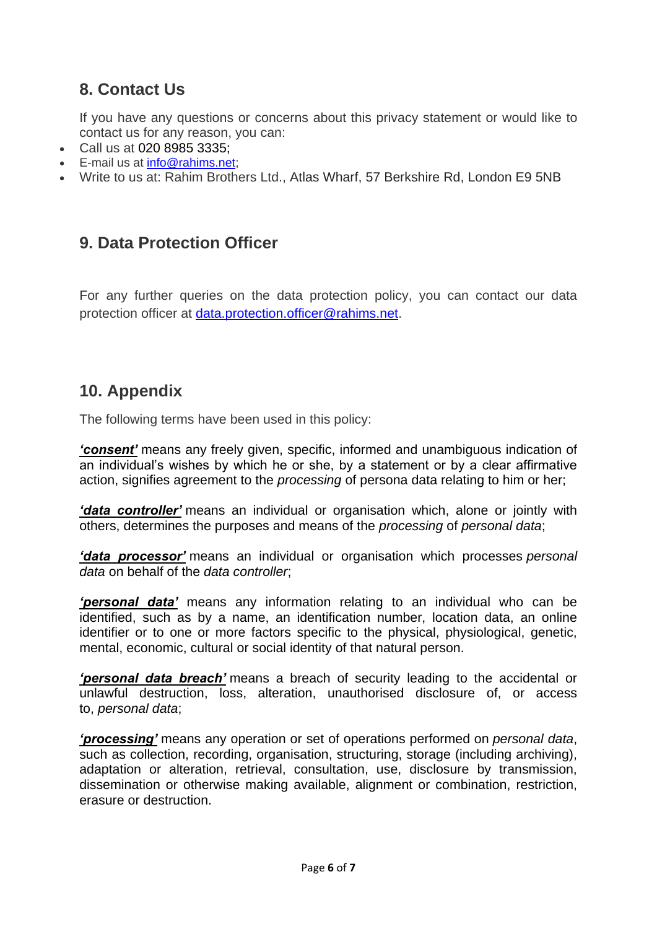# **8. Contact Us**

If you have any questions or concerns about this privacy statement or would like to contact us for any reason, you can:

- Call us at 020 8985 3335;
- E-mail us at [info@rahims.net;](mailto:info@rahims.net)
- Write to us at: Rahim Brothers Ltd., Atlas Wharf, 57 Berkshire Rd, London E9 5NB

# **9. Data Protection Officer**

For any further queries on the data protection policy, you can contact our data protection officer at [data.protection.officer@rahims.net.](mailto:data.protection.officer@rahims.net)

## **10. Appendix**

The following terms have been used in this policy:

*'consent'* means any freely given, specific, informed and unambiguous indication of an individual's wishes by which he or she, by a statement or by a clear affirmative action, signifies agreement to the *processing* of persona data relating to him or her;

*'data controller'* means an individual or organisation which, alone or jointly with others, determines the purposes and means of the *processing* of *personal data*;

*'data processor'* means an individual or organisation which processes *personal data* on behalf of the *data controller*;

*'personal data'* means any information relating to an individual who can be identified, such as by a name, an identification number, location data, an online identifier or to one or more factors specific to the physical, physiological, genetic, mental, economic, cultural or social identity of that natural person.

*'personal data breach'* means a breach of security leading to the accidental or unlawful destruction, loss, alteration, unauthorised disclosure of, or access to, *personal data*;

*'processing'* means any operation or set of operations performed on *personal data*, such as collection, recording, organisation, structuring, storage (including archiving), adaptation or alteration, retrieval, consultation, use, disclosure by transmission, dissemination or otherwise making available, alignment or combination, restriction, erasure or destruction.